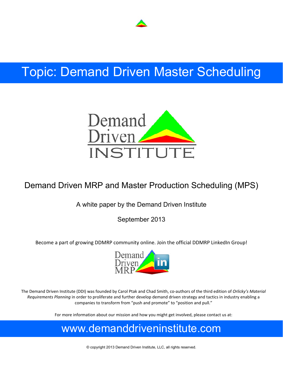

# Topic: Demand Driven Master Scheduling



## Demand Driven MRP and Master Production Scheduling (MPS)

### A white paper by the Demand Driven Institute

September 2013

Become a part of growing DDMRP community online. Join the official DDMRP LinkedIn Group!



The Demand Driven Institute (DDI) was founded by Carol Ptak and Chad Smith, co‐authors of the third edition of *Orlicky's Material Requirements Planning* in order to proliferate and further develop demand driven strategy and tactics in industry enabling a companies to transform from "push and promote" to "position and pull."

For more information about our mission and how you might get involved, please contact us at:

## www.demanddriveninstitute.com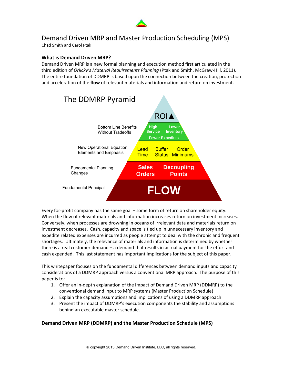

### Demand Driven MRP and Master Production Scheduling (MPS)

Chad Smith and Carol Ptak

#### **What is Demand Driven MRP?**

Demand Driven MRP is a new formal planning and execution method first articulated in the third edition of *Orlicky's Material Requirements Planning* (Ptak and Smith, McGraw‐Hill, 2011). The entire foundation of DDMRP is based upon the connection between the creation, protection and acceleration of the **flow** of relevant materials and information and return on investment.



Every for-profit company has the same goal – some form of return on shareholder equity. When the flow of relevant materials and information increases return on investment increases. Conversely, when processes are drowning in oceans of irrelevant data and materials return on investment decreases. Cash, capacity and space is tied up in unnecessary inventory and expedite related expenses are incurred as people attempt to deal with the chronic and frequent shortages. Ultimately, the relevance of materials and information is determined by whether there is a real customer demand – a demand that results in actual payment for the effort and cash expended. This last statement has important implications for the subject of this paper.

This whitepaper focuses on the fundamental differences between demand inputs and capacity considerations of a DDMRP approach versus a conventional MRP approach. The purpose of this paper is to:

- 1. Offer an in‐depth explanation of the impact of Demand Driven MRP (DDMRP) to the conventional demand input to MRP systems (Master Production Schedule)
- 2. Explain the capacity assumptions and implications of using a DDMRP approach
- 3. Present the impact of DDMRP's execution components the stability and assumptions behind an executable master schedule.

#### **Demand Driven MRP (DDMRP) and the Master Production Schedule (MPS)**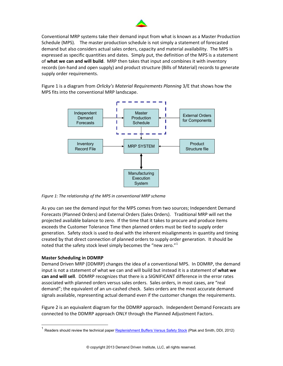

Conventional MRP systems take their demand input from what is known as a Master Production Schedule (MPS). The master production schedule is not simply a statement of forecasted demand but also considers actual sales orders, capacity and material availability. The MPS is expressed as specific quantities and dates. Simply put, the definition of the MPS is a statement of **what we can and will build**. MRP then takes that input and combines it with inventory records (on‐hand and open supply) and product structure (Bills of Material) records to generate supply order requirements.

Figure 1 is a diagram from *Orlicky's Material Requirements Planning* 3/E that shows how the MPS fits into the conventional MRP landscape.



*Figure 1: The relationship of the MPS in conventional MRP schema*

As you can see the demand input for the MPS comes from two sources; Independent Demand Forecasts (Planned Orders) and External Orders (Sales Orders). Traditional MRP will net the projected available balance to zero. If the time that it takes to procure and produce items exceeds the Customer Tolerance Time then planned orders must be tied to supply order generation. Safety stock is used to deal with the inherent misalignments in quantity and timing created by that direct connection of planned orders to supply order generation. It should be noted that the safety stock level simply becomes the "new zero." $1$ 

#### **Master Scheduling in DDMRP**

 $\overline{a}$ 

Demand Driven MRP (DDMRP) changes the idea of a conventional MPS. In DDMRP, the demand input is not a statement of what we can and will build but instead it is a statement of **what we can and will sell**. DDMRP recognizes that there is a SIGNIFICANT difference in the error rates associated with planned orders versus sales orders. Sales orders, in most cases, are "real demand"; the equivalent of an un‐cashed check. Sales orders are the most accurate demand signals available, representing actual demand even if the customer changes the requirements.

Figure 2 is an equivalent diagram for the DDMRP approach. Independent Demand Forecasts are connected to the DDMRP approach ONLY through the Planned Adjustment Factors.

<span id="page-2-0"></span>Readers should review the technical paper [Replenishment Buffers Versus Safety Stock](http://demanddrivenmrp.com/replenish_safety.php) (Ptak and Smith, DDI, 2012)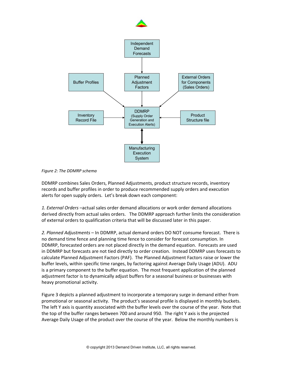

*Figure 2: The DDMRP schema*

DDMRP combines Sales Orders, Planned Adjustments, product structure records, inventory records and buffer profiles in order to produce recommended supply orders and execution alerts for open supply orders. Let's break down each component:

*1. External Orders* –actual sales order demand allocations or work order demand allocations derived directly from actual sales orders. The DDMRP approach further limits the consideration of external orders to qualification criteria that will be discussed later in this paper.

*2. Planned Adjustments* – In DDMRP, actual demand orders DO NOT consume forecast. There is no demand time fence and planning time fence to consider for forecast consumption. In DDMRP, forecasted orders are not placed directly in the demand equation. Forecasts are used in DDMRP but forecasts are not tied directly to order creation. Instead DDMRP uses forecasts to calculate Planned Adjustment Factors (PAF). The Planned Adjustment Factors raise or lower the buffer levels, within specific time ranges, by factoring against Average Daily Usage (ADU). ADU is a primary component to the buffer equation. The most frequent application of the planned adjustment factor is to dynamically adjust buffers for a seasonal business or businesses with heavy promotional activity.

Figure 3 depicts a planned adjustment to incorporate a temporary surge in demand either from promotional or seasonal activity. The product's seasonal profile is displayed in monthly buckets. The left Y axis is quantity associated with the buffer levels over the course of the year. Note that the top of the buffer ranges between 700 and around 950. The right Y axis is the projected Average Daily Usage of the product over the course of the year. Below the monthly numbers is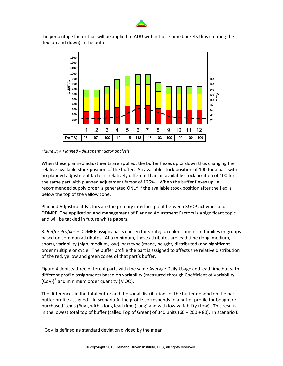

the percentage factor that will be applied to ADU within those time buckets thus creating the flex (up and down) in the buffer.



*Figure 3: A Planned Adjustment Factor analysis*

When these planned adjustments are applied, the buffer flexes up or down thus changing the relative available stock position of the buffer. An available stock position of 100 for a part with no planned adjustment factor is relatively different than an available stock position of 100 for the same part with planned adjustment factor of 125%. When the buffer flexes up, a recommended supply order is generated ONLY if the available stock position after the flex is below the top of the yellow zone.

Planned Adjustment Factors are the primary interface point between S&OP activities and DDMRP. The application and management of Planned Adjustment Factors is a significant topic and will be tackled in future white papers.

*3. Buffer Profiles* – DDMRP assigns parts chosen for strategic replenishment to families or groups based on common attributes. At a minimum, these attributes are lead time (long, medium, short), variability (high, medium, low), part type (made, bought, distributed) and significant order multiple or cycle. The buffer profile the part is assigned to affects the relative distribution of the red, yellow and green zones of that part's buffer.

Figure 4 depicts three different parts with the same Average Daily Usage and lead time but with different profile assignments based on variability (measured through Coefficient of Variability  $(CoV)^2$  $(CoV)^2$  and minimum order quantity (MOQ).

The differences in the total buffer and the zonal distributions of the buffer depend on the part buffer profile assigned. In scenario A, the profile corresponds to a buffer profile for bought or purchased items (Buy), with a long lead time (Long) and with low variability (Low). This results in the lowest total top of buffer (called Top of Green) of 340 units (60 + 200 + 80). In scenario B

<span id="page-4-0"></span><sup>&</sup>lt;u>2</u><br><sup>2</sup> CoV is defined as standard deviation divided by the mean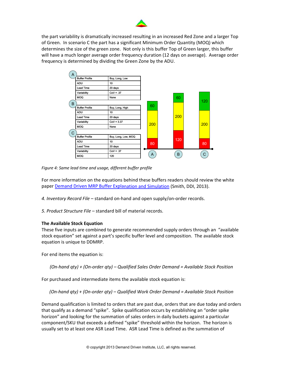

the part variability is dramatically increased resulting in an increased Red Zone and a larger Top of Green. In scenario C the part has a significant Minimum Order Quantity (MOQ) which determines the size of the green zone. Not only is this buffer Top of Green larger, this buffer will have a much longer average order frequency duration (12 days on average). Average order frequency is determined by dividing the Green Zone by the ADU.



*Figure 4: Same lead time and usage, different buffer profile*

For more information on the equations behind these buffers readers should review the white paper Demand Driven MRP Buffer [Explanation](http://demanddrivenmrp.com/buffer.php) and Simulation (Smith, DDI, 2013).

- *4. Inventory Record File* standard on‐hand and open supply/on‐order records.
- *5. Product Structure File* standard bill of material records.

#### **The Available Stock Equation**

These five inputs are combined to generate recommended supply orders through an "available stock equation" set against a part's specific buffer level and composition. The available stock equation is unique to DDMRP.

For end items the equation is:

*(On‐hand qty) + (On‐order qty) – Qualified Sales Order Demand = Available Stock Position*

For purchased and intermediate items the available stock equation is:

*(On‐hand qty) + (On‐order qty) – Qualified Work Order Demand = Available Stock Position*

Demand qualification is limited to orders that are past due, orders that are due today and orders that qualify as a demand "spike". Spike qualification occurs by establishing an "order spike horizon" and looking for the summation of sales orders in daily buckets against a particular component/SKU that exceeds a defined "spike" threshold within the horizon. The horizon is usually set to at least one ASR Lead Time. ASR Lead Time is defined as the summation of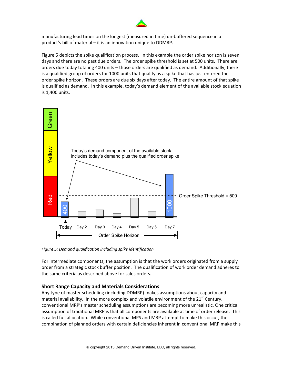

manufacturing lead times on the longest (measured in time) un‐buffered sequence in a product's bill of material – it is an innovation unique to DDMRP.

Figure 5 depicts the spike qualification process. In this example the order spike horizon is seven days and there are no past due orders. The order spike threshold is set at 500 units. There are orders due today totaling 400 units – those orders are qualified as demand. Additionally, there is a qualified group of orders for 1000 units that qualify as a spike that has just entered the order spike horizon. These orders are due six days after today. The entire amount of that spike is qualified as demand. In this example, today's demand element of the available stock equation is 1,400 units.



*Figure 5: Demand qualification including spike identification*

For intermediate components, the assumption is that the work orders originated from a supply order from a strategic stock buffer position. The qualification of work order demand adheres to the same criteria as described above for sales orders.

#### **Short Range Capacity and Materials Considerations**

Any type of master scheduling (including DDMRP) makes assumptions about capacity and material availability. In the more complex and volatile environment of the 21<sup>st</sup> Century, conventional MRP's master scheduling assumptions are becoming more unrealistic. One critical assumption of traditional MRP is that all components are available at time of order release. This is called full allocation. While conventional MPS and MRP attempt to make this occur, the combination of planned orders with certain deficiencies inherent in conventional MRP make this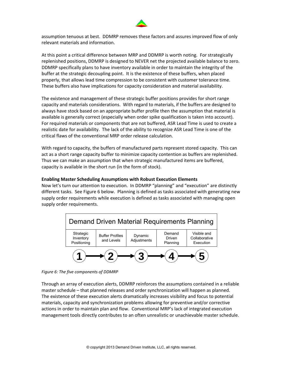

assumption tenuous at best. DDMRP removes these factors and assures improved flow of only relevant materials and information.

At this point a critical difference between MRP and DDMRP is worth noting. For strategically replenished positions, DDMRP is designed to NEVER net the projected available balance to zero. DDMRP specifically plans to have inventory available in order to maintain the integrity of the buffer at the strategic decoupling point. It is the existence of these buffers, when placed properly, that allows lead time compression to be consistent with customer tolerance time. These buffers also have implications for capacity consideration and material availability.

The existence and management of these strategic buffer positions provides for short range capacity and materials considerations. With regard to materials, if the buffers are designed to always have stock based on an appropriate buffer profile then the assumption that material is available is generally correct (especially when order spike qualification is taken into account). For required materials or components that are not buffered, ASR Lead Time is used to create a realistic date for availability. The lack of the ability to recognize ASR Lead Time is one of the critical flaws of the conventional MRP order release calculation.

With regard to capacity, the buffers of manufactured parts represent stored capacity. This can act as a short range capacity buffer to minimize capacity contention as buffers are replenished. Thus we can make an assumption that when strategic manufactured items are buffered, capacity is available in the short run (in the form of stock).

#### **Enabling Master Scheduling Assumptions with Robust Execution Elements**

Now let's turn our attention to execution. In DDMRP "planning" and "execution" are distinctly different tasks. See Figure 6 below. Planning is defined as tasks associated with generating new supply order requirements while execution is defined as tasks associated with managing open supply order requirements.



*Figure 6: The five components of DDMRP*

Through an array of execution alerts, DDMRP reinforces the assumptions contained in a reliable master schedule – that planned releases and order synchronization will happen as planned. The existence of these execution alerts dramatically increases visibility and focus to potential materials, capacity and synchronization problems allowing for preventive and/or corrective actions in order to maintain plan and flow. Conventional MRP's lack of integrated execution management tools directly contributes to an often unrealistic or unachievable master schedule.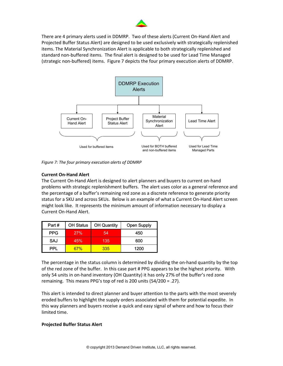

There are 4 primary alerts used in DDMRP. Two of these alerts (Current On‐Hand Alert and Projected Buffer Status Alert) are designed to be used exclusively with strategically replenished items. The Material Synchronization Alert is applicable to both strategically replenished and standard non‐buffered items. The final alert is designed to be used for Lead Time Managed (strategic non‐buffered) items. Figure 7 depicts the four primary execution alerts of DDMRP.



*Figure 7: The four primary execution alerts of DDMRP*

#### **Current On‐Hand Alert**

The Current On‐Hand Alert is designed to alert planners and buyers to current on‐hand problems with strategic replenishment buffers. The alert uses color as a general reference and the percentage of a buffer's remaining red zone as a discrete reference to generate priority status for a SKU and across SKUs. Below is an example of what a Current On‐Hand Alert screen might look like. It represents the minimum amount of information necessary to display a Current On‐Hand Alert.

| Part#      | <b>OH Status</b> | <b>OH Quantity</b> | <b>Open Supply</b> |
|------------|------------------|--------------------|--------------------|
| <b>PPG</b> | 27%              | 54                 | 450                |
| SAJ        | 45%              | 135                | 600                |
| PPI        | 67%              | 335                | 1200               |

The percentage in the status column is determined by dividing the on-hand quantity by the top of the red zone of the buffer. In this case part # PPG appears to be the highest priority. With only 54 units in on‐hand inventory (OH Quantity) it has only 27% of the buffer's red zone remaining. This means PPG's top of red is 200 units (54/200 = .27).

This alert is intended to direct planner and buyer attention to the parts with the most severely eroded buffers to highlight the supply orders associated with them for potential expedite. In this way planners and buyers receive a quick and easy signal of where and how to focus their limited time.

#### **Projected Buffer Status Alert**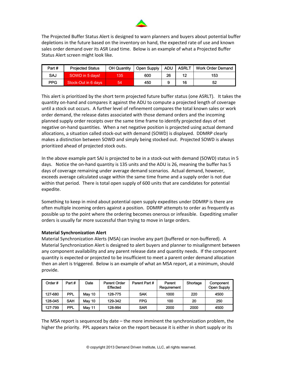

The Projected Buffer Status Alert is designed to warn planners and buyers about potential buffer depletions in the future based on the inventory on hand, the expected rate of use and known sales order demand over its ASR Lead time. Below is an example of what a Projected Buffer Status Alert screen might look like.

| Part# | <b>Projected Status</b> | <b>OH Quantity</b> | Open Supply | <b>ADU</b> | <b>ASRLT</b> | Work Order Demand |
|-------|-------------------------|--------------------|-------------|------------|--------------|-------------------|
| SAJ   | SOWD in 5 days!         | 135                | 600         | 26         | 12<br>ـــ    | 153               |
| PPG.  | Stock-Out in 6 days     | 54                 | 450         |            | 16           | 52                |

This alert is prioritized by the short term projected future buffer status (one ASRLT). It takes the quantity on‐hand and compares it against the ADU to compute a projected length of coverage until a stock out occurs. A further level of refinement compares the total known sales or work order demand, the release dates associated with those demand orders and the incoming planned supply order receipts over the same time frame to identify projected days of net negative on‐hand quantities. When a net negative position is projected using actual demand allocations, a situation called stock‐out with demand (SOWD) is displayed. DDMRP clearly makes a distinction between SOWD and simply being stocked out. Projected SOWD is always prioritized ahead of projected stock outs.

In the above example part SAJ is projected to be in a stock‐out with demand (SOWD) status in 5 days. Notice the on‐hand quantity is 135 units and the ADU is 26, meaning the buffer has 5 days of coverage remaining under average demand scenarios. Actual demand, however, exceeds average calculated usage within the same time frame and a supply order is not due within that period. There is total open supply of 600 units that are candidates for potential expedite.

Something to keep in mind about potential open supply expedites under DDMRP is there are often multiple incoming orders against a position. DDMRP attempts to order as frequently as possible up to the point where the ordering becomes onerous or infeasible. Expediting smaller orders is usually far more successful than trying to move in large orders.

#### **Material Synchronization Alert**

Material Synchronization Alerts (MSA) can involve any part (buffered or non‐buffered). A Material Synchronization Alert is designed to alert buyers and planner to misalignment between any component availability and any parent release date and quantity needs. If the component quantity is expected or projected to be insufficient to meet a parent order demand allocation then an alert is triggered. Below is an example of what an MSA report, at a minimum, should provide.

| Order#  | Part#      | Date   | Parent Order<br>Effected | Parent Part # | Parent<br>Requirement | Shortage | Component<br>Open Supply |
|---------|------------|--------|--------------------------|---------------|-----------------------|----------|--------------------------|
| 127-680 | PPL        | May 10 | 128-775                  | <b>SAK</b>    | 1000                  | 220      | 4500                     |
| 128-045 | SAH        | May 10 | 129-342                  | <b>FPG</b>    | 100                   | 20       | 250                      |
| 127-799 | <b>PPL</b> | May 11 | 128-994                  | <b>SAR</b>    | 2000                  | 2000     | 4500                     |

The MSA report is sequenced by date – the more imminent the synchronization problem, the higher the priority. PPL appears twice on the report because it is either in short supply or its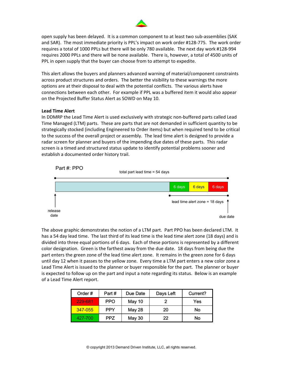

open supply has been delayed. It is a common component to at least two sub‐assemblies (SAK and SAR). The most immediate priority is PPL's impact on work order #128‐775. The work order requires a total of 1000 PPLs but there will be only 780 available. The next day work #128‐994 requires 2000 PPLs and there will be none available. There is, however, a total of 4500 units of PPL in open supply that the buyer can choose from to attempt to expedite.

This alert allows the buyers and planners advanced warning of material/component constraints across product structures and orders. The better the visibility to these warnings the more options are at their disposal to deal with the potential conflicts. The various alerts have connections between each other. For example if PPL was a buffered item it would also appear on the Projected Buffer Status Alert as SOWD on May 10.

#### **Lead Time Alert**

In DDMRP the Lead Time Alert is used exclusively with strategic non‐buffered parts called Lead Time Managed (LTM) parts. These are parts that are not demanded in sufficient quantity to be strategically stocked (including Engineered to Order items) but when required tend to be critical to the success of the overall project or assembly. The lead time alert is designed to provide a radar screen for planner and buyers of the impending due dates of these parts. This radar screen is a timed and structured status update to identify potential problems sooner and establish a documented order history trail.



The above graphic demonstrates the notion of a LTM part. Part PPO has been declared LTM. It has a 54 day lead time. The last third of its lead time is the lead time alert zone (18 days) and is divided into three equal portions of 6 days. Each of these portions is represented by a different color designation. Green is the farthest away from the due date. 18 days from being due the part enters the green zone of the lead time alert zone. It remains in the green zone for 6 days until day 12 when it passes to the yellow zone. Every time a LTM part enters a new color zone a Lead Time Alert is issued to the planner or buyer responsible for the part. The planner or buyer is expected to follow up on the part and input a note regarding its status. Below is an example of a Lead Time Alert report.

| Order#  | Part#      | Due Date      | Days Left | Current? |
|---------|------------|---------------|-----------|----------|
| 229-681 | <b>PPO</b> | <b>May 10</b> |           | Yes      |
| 347-055 | <b>PPY</b> | <b>May 28</b> | 20        | No       |
| 427-700 | <b>PPZ</b> | <b>May 30</b> | 22        | No       |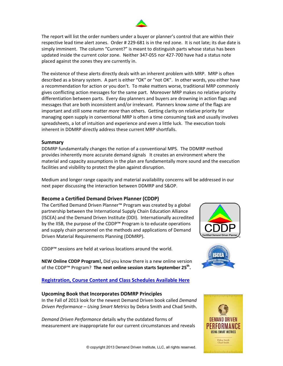

The report will list the order numbers under a buyer or planner's control that are within their respective lead time alert zones. Order # 229‐681 is in the red zone. It is not late; its due date is simply imminent. The column "Current?" is meant to distinguish parts whose status has been updated inside the current color zone. Neither 347‐055 nor 427‐700 have had a status note placed against the zones they are currently in.

The existence of these alerts directly deals with an inherent problem with MRP. MRP is often described as a binary system. A part is either "OK" or "not OK". In other words, you either have a recommendation for action or you don't. To make matters worse, traditional MRP commonly gives conflicting action messages for the same part. Moreover MRP makes no relative priority differentiation between parts. Every day planners and buyers are drowning in action flags and messages that are both inconsistent and/or irrelevant. Planners know *some* of the flags are important and still some matter *more* than others. Getting clarity on relative priority for managing open supply in conventional MRP is often a time consuming task and usually involves spreadsheets, a lot of intuition and experience and even a little luck. The execution tools inherent in DDMRP directly address these current MRP shortfalls.

#### **Summary**

DDMRP fundamentally changes the notion of a conventional MPS. The DDMRP method provides inherently more accurate demand signals It creates an environment where the material and capacity assumptions in the plan are fundamentally more sound and the execution facilities and visibility to protect the plan against disruption.

Medium and longer range capacity and material availability concerns will be addressed in our next paper discussing the interaction between DDMRP and S&OP.

#### **Become a Certified Demand Driven Planner (CDDP)**

The Certified Demand Driven Planner™ Program was created by a global partnership between the International Supply Chain Education Alliance (ISCEA) and the Demand Driven Institute (DDI). Internationally accredited by the IISB, the purpose of the CDDP™ Program is to educate operations and supply chain personnel on the methods and applications of Demand Driven Material Requirements Planning (DDMRP).

CDDP™ sessions are held at various locations around the world.

**NEW Online CDDP Program!,** Did you know there is a new online version of the CDDP™ Program? **The next online session starts September 25th.**

#### **[Registration,](http://demanddriveninstitute.com/cddp_program.html) Course Content and Class Schedules Available Here**

#### **Upcoming Book that Incorporates DDMRP Principles**

In the Fall of 2013 look for the newest Demand Driven book called *Demand Driven Performance – Using Smart Metrics* by Debra Smith and Chad Smith.

*Demand Driven Performance* details why the outdated forms of measurement are inappropriate for our current circumstances and reveals





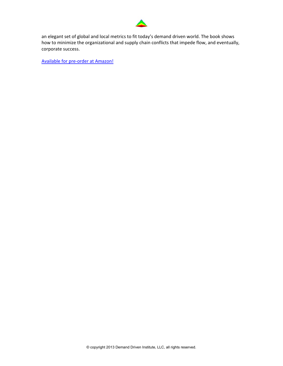

an elegant set of global and local metrics to fit today's demand driven world. The book shows how to minimize the organizational and supply chain conflicts that impede flow, and eventually, corporate success.

Available for pre‐order at Amazon!